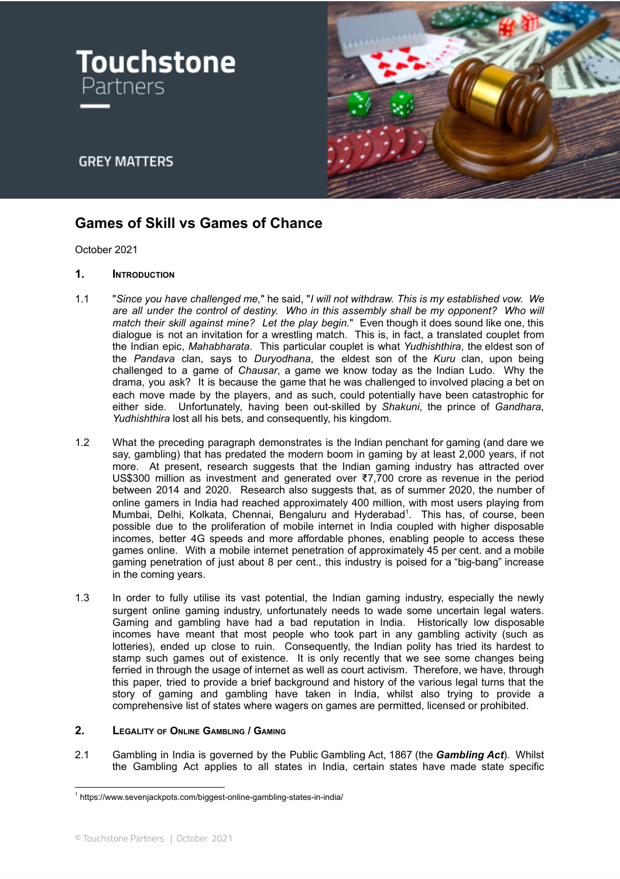



# **GREY MATTERS**

# **Games of Skill vs Games of Chance**

October 2021

## **1. INTRODUCTION**

- 1.1 "*Since you have challenged me,*" he said, "*I will not withdraw. This is my established vow. We are all under the control of destiny. Who in this assembly shall be my opponent? Who will match their skill against mine? Let the play begin.*" Even though it does sound like one, this dialogue is not an invitation for a wrestling match. This is, in fact, a translated couplet from the Indian epic, *Mahabharata*. This particular couplet is what *Yudhishthira*, the eldest son of the *Pandava* clan, says to *Duryodhana*, the eldest son of the *Kuru* clan, upon being challenged to a game of *Chausar*, a game we know today as the Indian Ludo. Why the drama, you ask? It is because the game that he was challenged to involved placing a bet on each move made by the players, and as such, could potentially have been catastrophic for either side. Unfortunately, having been out-skilled by *Shakuni*, the prince of *Gandhara*, *Yudhishthira* lost all his bets, and consequently, his kingdom.
- 1.2 What the preceding paragraph demonstrates is the Indian penchant for gaming (and dare we say, gambling) that has predated the modern boom in gaming by at least 2,000 years, if not more. At present, research suggests that the Indian gaming industry has attracted over US\$300 million as investment and generated over ₹7,700 crore as revenue in the period between 2014 and 2020. Research also suggests that, as of summer 2020, the number of online gamers in India had reached approximately 400 million, with most users playing from Mumbai, Delhi, Kolkata, Chennai, Bengaluru and Hyderabad 1 . This has, of course, been possible due to the proliferation of mobile internet in India coupled with higher disposable incomes, better 4G speeds and more affordable phones, enabling people to access these games online. With a mobile internet penetration of approximately 45 per cent. and a mobile gaming penetration of just about 8 per cent., this industry is poised for a "big-bang" increase in the coming years.
- 1.3 In order to fully utilise its vast potential, the Indian gaming industry, especially the newly surgent online gaming industry, unfortunately needs to wade some uncertain legal waters. Gaming and gambling have had a bad reputation in India. Historically low disposable incomes have meant that most people who took part in any gambling activity (such as lotteries), ended up close to ruin. Consequently, the Indian polity has tried its hardest to stamp such games out of existence. It is only recently that we see some changes being ferried in through the usage of internet as well as court activism. Therefore, we have, through this paper, tried to provide a brief background and history of the various legal turns that the story of gaming and gambling have taken in India, whilst also trying to provide a comprehensive list of states where wagers on games are permitted, licensed or prohibited.

#### **2. LEGALITY OF ONLINE GAMBLING / GAMING**

2.1 Gambling in India is governed by the Public Gambling Act, 1867 (the *Gambling Act*). Whilst the Gambling Act applies to all states in India, certain states have made state specific

<sup>1</sup> https://www.sevenjackpots.com/biggest-online-gambling-states-in-india/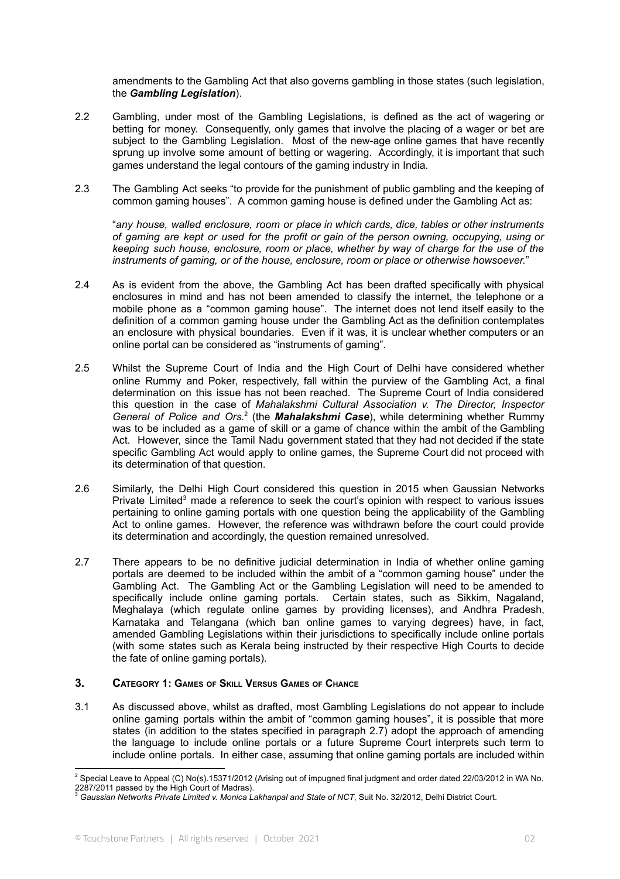amendments to the Gambling Act that also governs gambling in those states (such legislation, the *Gambling Legislation*).

- 2.2 Gambling, under most of the Gambling Legislations, is defined as the act of wagering or betting for money. Consequently, only games that involve the placing of a wager or bet are subject to the Gambling Legislation. Most of the new-age online games that have recently sprung up involve some amount of betting or wagering. Accordingly, it is important that such games understand the legal contours of the gaming industry in India.
- 2.3 The Gambling Act seeks "to provide for the punishment of public gambling and the keeping of common gaming houses". A common gaming house is defined under the Gambling Act as:

"*any house, walled enclosure, room or place in which cards, dice, tables or other instruments of gaming are kept or used for the profit or gain of the person owning, occupying, using or keeping such house, enclosure, room or place, whether by way of charge for the use of the instruments of gaming, or of the house, enclosure, room or place or otherwise howsoever.*"

- 2.4 As is evident from the above, the Gambling Act has been drafted specifically with physical enclosures in mind and has not been amended to classify the internet, the telephone or a mobile phone as a "common gaming house". The internet does not lend itself easily to the definition of a common gaming house under the Gambling Act as the definition contemplates an enclosure with physical boundaries. Even if it was, it is unclear whether computers or an online portal can be considered as "instruments of gaming".
- 2.5 Whilst the Supreme Court of India and the High Court of Delhi have considered whether online Rummy and Poker, respectively, fall within the purview of the Gambling Act, a final determination on this issue has not been reached. The Supreme Court of India considered this question in the case of *Mahalakshmi Cultural Association v. The Director, Inspector General of Police and Ors.* 2 (the *Mahalakshmi Case*), while determining whether Rummy was to be included as a game of skill or a game of chance within the ambit of the Gambling Act. However, since the Tamil Nadu government stated that they had not decided if the state specific Gambling Act would apply to online games, the Supreme Court did not proceed with its determination of that question.
- 2.6 Similarly, the Delhi High Court considered this question in 2015 when Gaussian Networks Private Limited<sup>3</sup> made a reference to seek the court's opinion with respect to various issues pertaining to online gaming portals with one question being the applicability of the Gambling Act to online games. However, the reference was withdrawn before the court could provide its determination and accordingly, the question remained unresolved.
- 2.7 There appears to be no definitive judicial determination in India of whether online gaming portals are deemed to be included within the ambit of a "common gaming house" under the Gambling Act. The Gambling Act or the Gambling Legislation will need to be amended to specifically include online gaming portals. Certain states, such as Sikkim, Nagaland, Meghalaya (which regulate online games by providing licenses), and Andhra Pradesh, Karnataka and Telangana (which ban online games to varying degrees) have, in fact, amended Gambling Legislations within their jurisdictions to specifically include online portals (with some states such as Kerala being instructed by their respective High Courts to decide the fate of online gaming portals).

#### **3. CATEGORY 1: GAMES OF SKILL VERSUS GAMES OF CHANCE**

3.1 As discussed above, whilst as drafted, most Gambling Legislations do not appear to include online gaming portals within the ambit of "common gaming houses", it is possible that more states (in addition to the states specified in paragraph 2.7) adopt the approach of amending the language to include online portals or a future Supreme Court interprets such term to include online portals. In either case, assuming that online gaming portals are included within

<sup>&</sup>lt;sup>2</sup> Special Leave to Appeal (C) No(s).15371/2012 (Arising out of impugned final judgment and order dated 22/03/2012 in WA No.

<sup>2287/2011</sup> passed by the High Court of Madras).<br><sup>3</sup> Ga*ussian Networks Private Limited v. Monica Lakhanpal and State of NCT*, Suit No. 32/2012, Delhi District Court.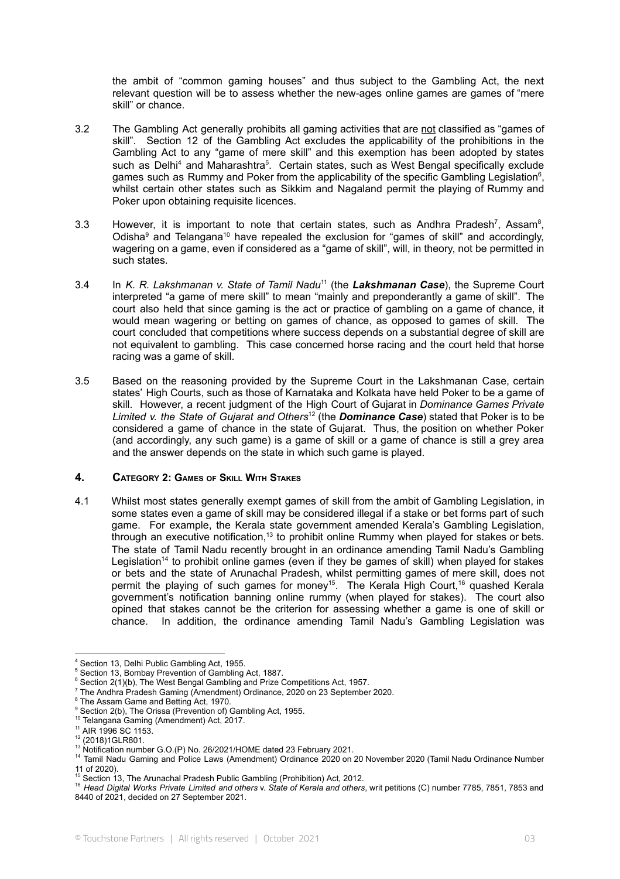the ambit of "common gaming houses" and thus subject to the Gambling Act, the next relevant question will be to assess whether the new-ages online games are games of "mere skill" or chance.

- 3.2 The Gambling Act generally prohibits all gaming activities that are not classified as "games of skill". Section 12 of the Gambling Act excludes the applicability of the prohibitions in the Gambling Act to any "game of mere skill" and this exemption has been adopted by states such as Delhi<sup>4</sup> and Maharashtra<sup>5</sup>. Certain states, such as West Bengal specifically exclude games such as Rummy and Poker from the applicability of the specific Gambling Legislation<sup>6</sup>, whilst certain other states such as Sikkim and Nagaland permit the playing of Rummy and Poker upon obtaining requisite licences.
- 3.3 However, it is important to note that certain states, such as Andhra Pradesh<sup>7</sup>, Assam<sup>8</sup>, Odisha<sup>9</sup> and Telangana<sup>10</sup> have repealed the exclusion for "games of skill" and accordingly, wagering on a game, even if considered as a "game of skill", will, in theory, not be permitted in such states.
- 3.4 In *K. R. Lakshmanan v. State of Tamil Nadu* 11 (the *Lakshmanan Case*), the Supreme Court interpreted "a game of mere skill" to mean "mainly and preponderantly a game of skill". The court also held that since gaming is the act or practice of gambling on a game of chance, it would mean wagering or betting on games of chance, as opposed to games of skill. The court concluded that competitions where success depends on a substantial degree of skill are not equivalent to gambling. This case concerned horse racing and the court held that horse racing was a game of skill.
- 3.5 Based on the reasoning provided by the Supreme Court in the Lakshmanan Case, certain states' High Courts, such as those of Karnataka and Kolkata have held Poker to be a game of skill. However, a recent judgment of the High Court of Gujarat in *Dominance Games Private Limited v. the State of Gujarat and Others* <sup>12</sup> (the *Dominance Case*) stated that Poker is to be considered a game of chance in the state of Gujarat. Thus, the position on whether Poker (and accordingly, any such game) is a game of skill or a game of chance is still a grey area and the answer depends on the state in which such game is played.

#### **4. CATEGORY 2: GAMES OF SKILL WITH STAKES**

4.1 Whilst most states generally exempt games of skill from the ambit of Gambling Legislation, in some states even a game of skill may be considered illegal if a stake or bet forms part of such game. For example, the Kerala state government amended Kerala's Gambling Legislation, through an executive notification,<sup>13</sup> to prohibit online Rummy when played for stakes or bets. The state of Tamil Nadu recently brought in an ordinance amending Tamil Nadu's Gambling Legislation<sup>14</sup> to prohibit online games (even if they be games of skill) when played for stakes or bets and the state of Arunachal Pradesh, whilst permitting games of mere skill, does not permit the playing of such games for money<sup>15</sup>. The Kerala High Court,<sup>16</sup> quashed Kerala government's notification banning online rummy (when played for stakes). The court also opined that stakes cannot be the criterion for assessing whether a game is one of skill or chance. In addition, the ordinance amending Tamil Nadu's Gambling Legislation was

Section 13, Delhi Public Gambling Act, 1955.

<sup>5</sup> Section 13, Bombay Prevention of Gambling Act, 1887.

<sup>6</sup> Section 2(1)(b), The West Bengal Gambling and Prize Competitions Act, 1957.

<sup>7</sup> The Andhra Pradesh Gaming (Amendment) Ordinance, 2020 on 23 September 2020.

<sup>&</sup>lt;sup>8</sup> The Assam Game and Betting Act, 1970.

<sup>&</sup>lt;sup>9</sup> Section 2(b), The Orissa (Prevention of) Gambling Act, 1955.

<sup>10</sup> Telangana Gaming (Amendment) Act, 2017.

 $11$  AIR 1996 SC 1153.

<sup>12</sup> (2018)1GLR801.

<sup>13</sup> Notification number G.O.(P) No. 26/2021/HOME dated 23 February 2021.

<sup>14</sup> Tamil Nadu Gaming and Police Laws (Amendment) Ordinance 2020 on 20 November 2020 (Tamil Nadu Ordinance Number 11 of 2020).

Section 13, The Arunachal Pradesh Public Gambling (Prohibition) Act, 2012.

<sup>16</sup> *Head Digital Works Private Limited and others* v. *State of Kerala and others*, writ petitions (C) number 7785, 7851, 7853 and 8440 of 2021, decided on 27 September 2021.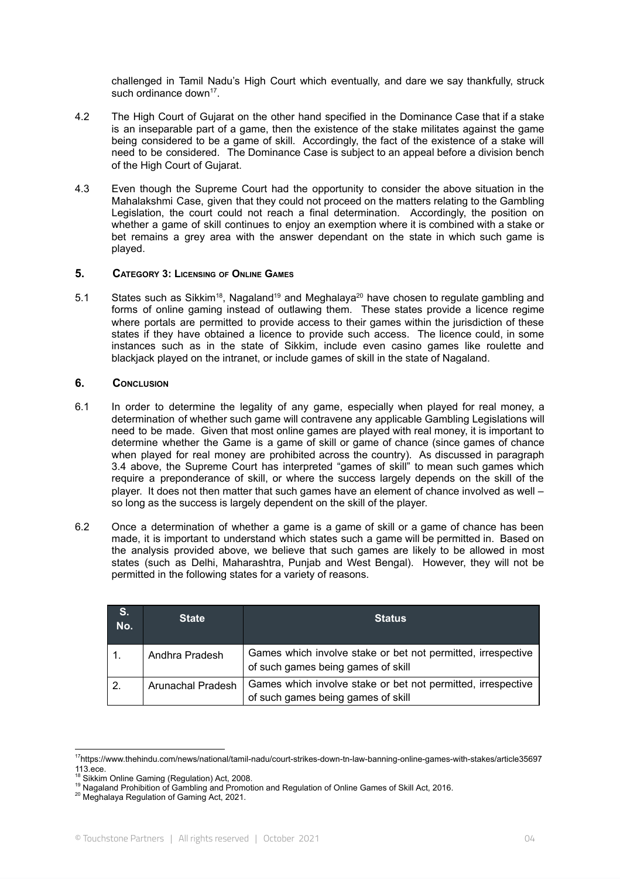challenged in Tamil Nadu's High Court which eventually, and dare we say thankfully, struck such ordinance down<sup>17</sup>.

- 4.2 The High Court of Gujarat on the other hand specified in the Dominance Case that if a stake is an inseparable part of a game, then the existence of the stake militates against the game being considered to be a game of skill. Accordingly, the fact of the existence of a stake will need to be considered. The Dominance Case is subject to an appeal before a division bench of the High Court of Gujarat.
- 4.3 Even though the Supreme Court had the opportunity to consider the above situation in the Mahalakshmi Case, given that they could not proceed on the matters relating to the Gambling Legislation, the court could not reach a final determination. Accordingly, the position on whether a game of skill continues to enjoy an exemption where it is combined with a stake or bet remains a grey area with the answer dependant on the state in which such game is played.

#### **5. CATEGORY 3: LICENSING OF ONLINE GAMES**

5.1 States such as Sikkim<sup>18</sup>, Nagaland<sup>19</sup> and Meghalaya<sup>20</sup> have chosen to regulate gambling and forms of online gaming instead of outlawing them. These states provide a licence regime where portals are permitted to provide access to their games within the jurisdiction of these states if they have obtained a licence to provide such access. The licence could, in some instances such as in the state of Sikkim, include even casino games like roulette and blackjack played on the intranet, or include games of skill in the state of Nagaland.

#### **6. CONCLUSION**

- 6.1 In order to determine the legality of any game, especially when played for real money, a determination of whether such game will contravene any applicable Gambling Legislations will need to be made. Given that most online games are played with real money, it is important to determine whether the Game is a game of skill or game of chance (since games of chance when played for real money are prohibited across the country). As discussed in paragraph 3.4 above, the Supreme Court has interpreted "games of skill" to mean such games which require a preponderance of skill, or where the success largely depends on the skill of the player. It does not then matter that such games have an element of chance involved as well – so long as the success is largely dependent on the skill of the player.
- 6.2 Once a determination of whether a game is a game of skill or a game of chance has been made, it is important to understand which states such a game will be permitted in. Based on the analysis provided above, we believe that such games are likely to be allowed in most states (such as Delhi, Maharashtra, Punjab and West Bengal). However, they will not be permitted in the following states for a variety of reasons.

| <b>S.</b><br>No. | <b>State</b>      | <b>Status</b>                                                                                      |
|------------------|-------------------|----------------------------------------------------------------------------------------------------|
|                  | Andhra Pradesh    | Games which involve stake or bet not permitted, irrespective<br>of such games being games of skill |
| 2.               | Arunachal Pradesh | Games which involve stake or bet not permitted, irrespective<br>of such games being games of skill |

<sup>17</sup>https://www.thehindu.com/news/national/tamil-nadu/court-strikes-down-tn-law-banning-online-games-with-stakes/article35697 113.ece.

<sup>&</sup>lt;sup>18</sup> Sikkim Online Gaming (Regulation) Act, 2008.

<sup>19</sup> Nagaland Prohibition of Gambling and Promotion and Regulation of Online Games of Skill Act, 2016.

<sup>&</sup>lt;sup>20</sup> Meghalaya Regulation of Gaming Act, 2021.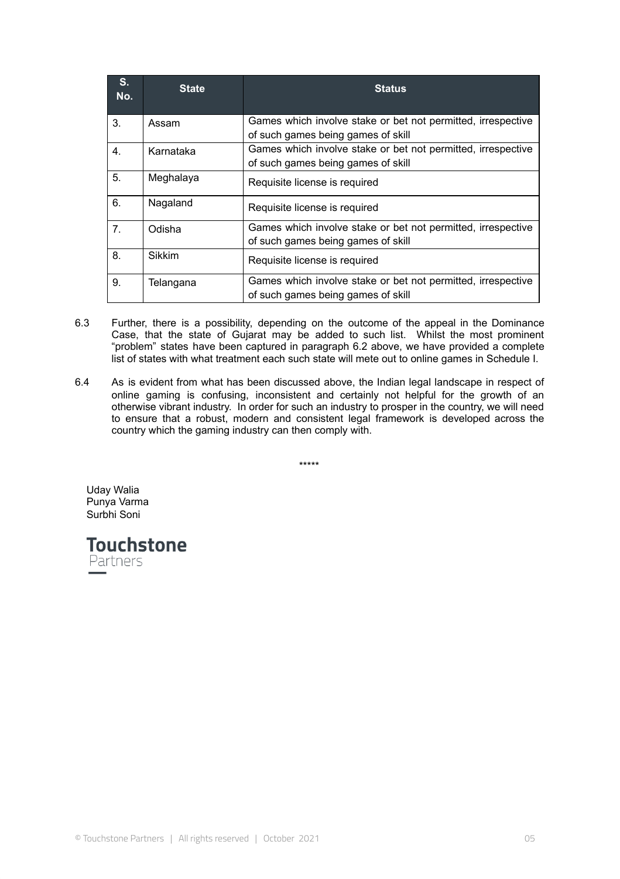| $S_{1}$<br>No. | <b>State</b> | <b>Status</b>                                                                                      |
|----------------|--------------|----------------------------------------------------------------------------------------------------|
| 3.             | Assam        | Games which involve stake or bet not permitted, irrespective<br>of such games being games of skill |
| 4.             | Karnataka    | Games which involve stake or bet not permitted, irrespective<br>of such games being games of skill |
| 5.             | Meghalaya    | Requisite license is required                                                                      |
| 6.             | Nagaland     | Requisite license is required                                                                      |
| 7.             | Odisha       | Games which involve stake or bet not permitted, irrespective<br>of such games being games of skill |
| 8.             | Sikkim       | Requisite license is required                                                                      |
| 9.             | Telangana    | Games which involve stake or bet not permitted, irrespective<br>of such games being games of skill |

- 6.3 Further, there is a possibility, depending on the outcome of the appeal in the Dominance Case, that the state of Gujarat may be added to such list. Whilst the most prominent "problem" states have been captured in paragraph 6.2 above, we have provided a complete list of states with what treatment each such state will mete out to online games in Schedule I.
- 6.4 As is evident from what has been discussed above, the Indian legal landscape in respect of online gaming is confusing, inconsistent and certainly not helpful for the growth of an otherwise vibrant industry. In order for such an industry to prosper in the country, we will need to ensure that a robust, modern and consistent legal framework is developed across the country which the gaming industry can then comply with.

\*\*\*\*\*

Uday Walia Punya Varma Surbhi Soni

**Touchstone** Partners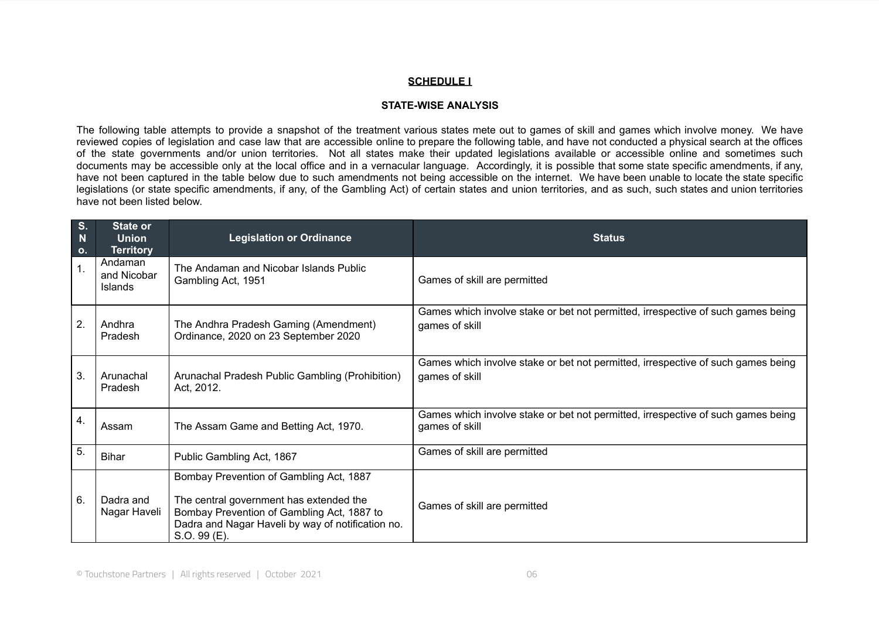### **SCHEDULE I**

#### **STATE-WISE ANALYSIS**

The following table attempts to provide a snapshot of the treatment various states mete out to games of skill and games which involve money. We have reviewed copies of legislation and case law that are accessible online to prepare the following table, and have not conducted a physical search at the offices of the state governments and/or union territories. Not all states make their updated legislations available or accessible online and sometimes such documents may be accessible only at the local office and in a vernacular language. Accordingly, it is possible that some state specific amendments, if any, have not been captured in the table below due to such amendments not being accessible on the internet. We have been unable to locate the state specific legislations (or state specific amendments, if any, of the Gambling Act) of certain states and union territories, and as such, such states and union territories have not been listed below.

| S.<br>N<br>O <sub>1</sub> | <b>State or</b><br><b>Union</b><br><b>Territory</b> | <b>Legislation or Ordinance</b>                                                                                                                                                                       | <b>Status</b>                                                                                      |
|---------------------------|-----------------------------------------------------|-------------------------------------------------------------------------------------------------------------------------------------------------------------------------------------------------------|----------------------------------------------------------------------------------------------------|
| 1.                        | Andaman<br>and Nicobar<br><b>Islands</b>            | The Andaman and Nicobar Islands Public<br>Gambling Act, 1951                                                                                                                                          | Games of skill are permitted                                                                       |
| 2.                        | Andhra<br>Pradesh                                   | The Andhra Pradesh Gaming (Amendment)<br>Ordinance, 2020 on 23 September 2020                                                                                                                         | Games which involve stake or bet not permitted, irrespective of such games being<br>games of skill |
| 3.                        | Arunachal<br>Pradesh                                | Arunachal Pradesh Public Gambling (Prohibition)<br>Act, 2012.                                                                                                                                         | Games which involve stake or bet not permitted, irrespective of such games being<br>games of skill |
| 4.                        | Assam                                               | The Assam Game and Betting Act, 1970.                                                                                                                                                                 | Games which involve stake or bet not permitted, irrespective of such games being<br>games of skill |
| 5.                        | <b>Bihar</b>                                        | Public Gambling Act, 1867                                                                                                                                                                             | Games of skill are permitted                                                                       |
| 6.                        | Dadra and<br>Nagar Haveli                           | Bombay Prevention of Gambling Act, 1887<br>The central government has extended the<br>Bombay Prevention of Gambling Act, 1887 to<br>Dadra and Nagar Haveli by way of notification no.<br>S.O. 99 (E). | Games of skill are permitted                                                                       |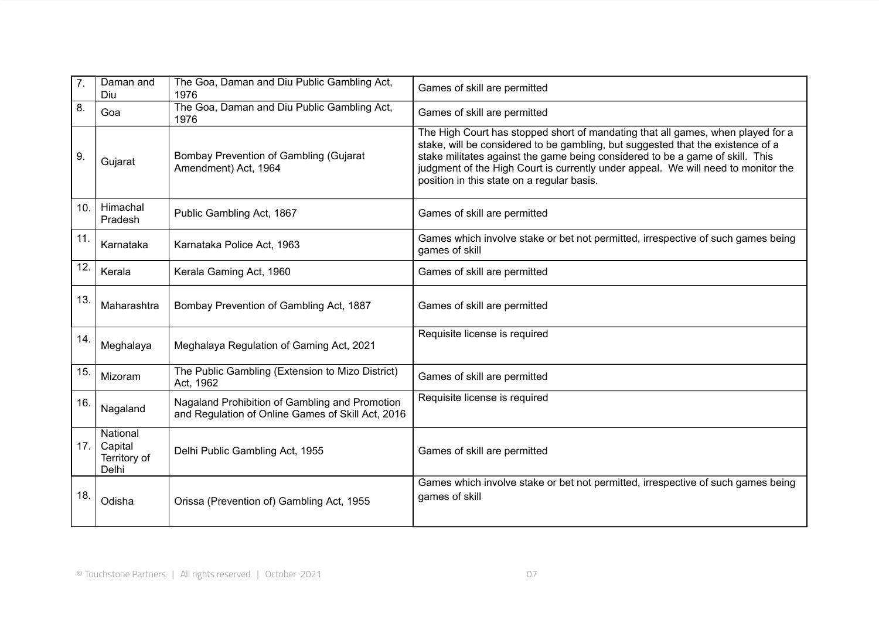| 7.  | Daman and<br>Diu                             | The Goa, Daman and Diu Public Gambling Act,<br>1976                                                 | Games of skill are permitted                                                                                                                                                                                                                                                                                                                                                           |
|-----|----------------------------------------------|-----------------------------------------------------------------------------------------------------|----------------------------------------------------------------------------------------------------------------------------------------------------------------------------------------------------------------------------------------------------------------------------------------------------------------------------------------------------------------------------------------|
| 8.  | Goa                                          | The Goa, Daman and Diu Public Gambling Act,<br>1976                                                 | Games of skill are permitted                                                                                                                                                                                                                                                                                                                                                           |
| 9.  | Gujarat                                      | Bombay Prevention of Gambling (Gujarat<br>Amendment) Act, 1964                                      | The High Court has stopped short of mandating that all games, when played for a<br>stake, will be considered to be gambling, but suggested that the existence of a<br>stake militates against the game being considered to be a game of skill. This<br>judgment of the High Court is currently under appeal. We will need to monitor the<br>position in this state on a regular basis. |
| 10. | Himachal<br>Pradesh                          | Public Gambling Act, 1867                                                                           | Games of skill are permitted                                                                                                                                                                                                                                                                                                                                                           |
| 11. | Karnataka                                    | Karnataka Police Act, 1963                                                                          | Games which involve stake or bet not permitted, irrespective of such games being<br>games of skill                                                                                                                                                                                                                                                                                     |
| 12. | Kerala                                       | Kerala Gaming Act, 1960                                                                             | Games of skill are permitted                                                                                                                                                                                                                                                                                                                                                           |
| 13. | Maharashtra                                  | Bombay Prevention of Gambling Act, 1887                                                             | Games of skill are permitted                                                                                                                                                                                                                                                                                                                                                           |
| 14. | Meghalaya                                    | Meghalaya Regulation of Gaming Act, 2021                                                            | Requisite license is required                                                                                                                                                                                                                                                                                                                                                          |
| 15. | Mizoram                                      | The Public Gambling (Extension to Mizo District)<br>Act, 1962                                       | Games of skill are permitted                                                                                                                                                                                                                                                                                                                                                           |
| 16. | Nagaland                                     | Nagaland Prohibition of Gambling and Promotion<br>and Regulation of Online Games of Skill Act, 2016 | Requisite license is required                                                                                                                                                                                                                                                                                                                                                          |
| 17. | National<br>Capital<br>Territory of<br>Delhi | Delhi Public Gambling Act, 1955                                                                     | Games of skill are permitted                                                                                                                                                                                                                                                                                                                                                           |
| 18. | Odisha                                       | Orissa (Prevention of) Gambling Act, 1955                                                           | Games which involve stake or bet not permitted, irrespective of such games being<br>games of skill                                                                                                                                                                                                                                                                                     |